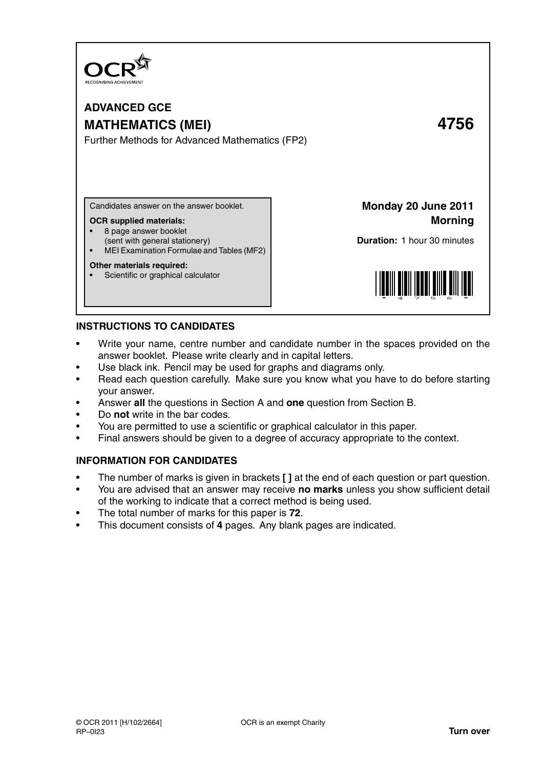

# **ADVANCED GCE MATHEMATICS (MEI) 4756** Further Methods for Advanced Mathematics (FP2)

Candidates answer on the answer booklet.

#### **OCR supplied materials:**

- 8 page answer booklet
- (sent with general stationery)
- MEI Examination Formulae and Tables (MF2)

### **Other materials required:**

Scientific or graphical calculator

**Monday 20 June 2011 Morning**

**Duration:** 1 hour 30 minutes



### **INSTRUCTIONS TO CANDIDATES**

- Write your name, centre number and candidate number in the spaces provided on the answer booklet. Please write clearly and in capital letters.
- Use black ink. Pencil may be used for graphs and diagrams only.
- Read each question carefully. Make sure you know what you have to do before starting your answer.
- Answer **all** the questions in Section A and **one** question from Section B.
- Do **not** write in the bar codes.
- You are permitted to use a scientific or graphical calculator in this paper.
- Final answers should be given to a degree of accuracy appropriate to the context.

## **INFORMATION FOR CANDIDATES**

- The number of marks is given in brackets **[ ]** at the end of each question or part question.
- You are advised that an answer may receive **no marks** unless you show sufficient detail of the working to indicate that a correct method is being used.
- The total number of marks for this paper is **72**.
- This document consists of **4** pages. Any blank pages are indicated.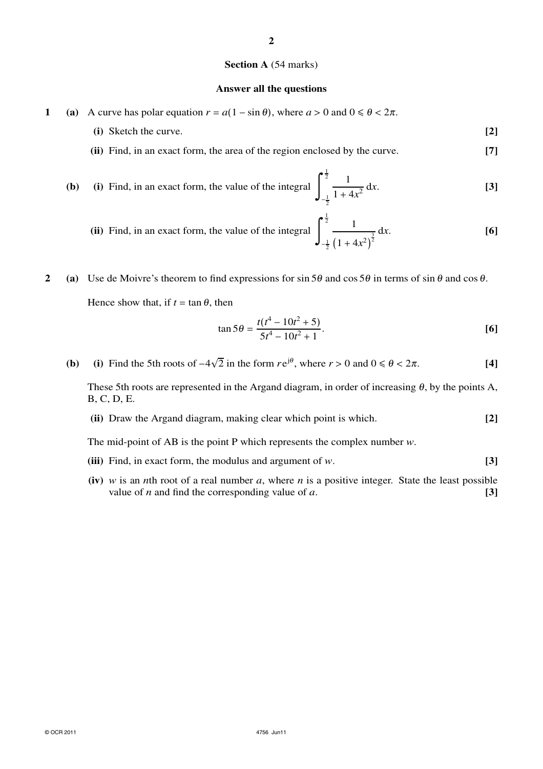#### **Section A** (54 marks)

#### **Answer all the questions**

- **1** (a) A curve has polar equation  $r = a(1 \sin \theta)$ , where  $a > 0$  and  $0 \le \theta < 2\pi$ .
	- **(i)** Sketch the curve. **[2]**
	- **(ii)** Find, in an exact form, the area of the region enclosed by the curve. **[7]**
	- **(b)** (i) Find, in an exact form, the value of the integral  $\frac{1}{2}$  $-\frac{1}{2}$ 1  $\frac{1}{1 + 4x^2} dx.$  [3]
		- $(i)$  Find, in an exact form, the value of the integral  $\left| \right|$  $\frac{1}{2}$  $-\frac{1}{2}$ 1  $(1 + 4x^2)$  $\frac{3}{2}$  dx. **[6]**

**2** (a) Use de Moivre's theorem to find expressions for sin 5 $\theta$  and cos 5 $\theta$  in terms of sin  $\theta$  and cos  $\theta$ . Hence show that, if  $t = \tan \theta$ , then

$$
\tan 5\theta = \frac{t(t^4 - 10t^2 + 5)}{5t^4 - 10t^2 + 1}.
$$
 [6]

**(b)** (i) Find the 5th roots of  $-4\sqrt{2}$  in the form  $re^{j\theta}$ , where  $r > 0$  and  $0 \le \theta < 2\pi$ . [4]

These 5th roots are represented in the Argand diagram, in order of increasing  $\theta$ , by the points A, B, C, D, E.

**(ii)** Draw the Argand diagram, making clear which point is which. **[2]**

The mid-point of AB is the point P which represents the complex number *w*.

- **(iii)** Find, in exact form, the modulus and argument of *w*. **[3]**
- **(iv)** *w* is an *n*th root of a real number *a*, where *n* is a positive integer. State the least possible value of *n* and find the corresponding value of *a*.  $[3]$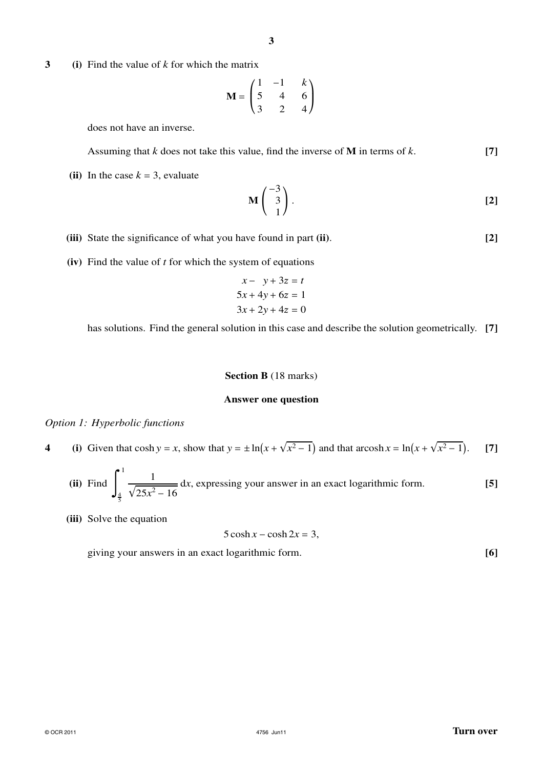**3 (i)** Find the value of *k* for which the matrix

$$
\mathbf{M} = \begin{pmatrix} 1 & -1 & k \\ 5 & 4 & 6 \\ 3 & 2 & 4 \end{pmatrix}
$$

does not have an inverse.

Assuming that *k* does not take this value, find the inverse of **M** in terms of *k*. **[7]**

(ii) In the case  $k = 3$ , evaluate

$$
\mathbf{M} \begin{pmatrix} -3 \\ 3 \\ 1 \end{pmatrix} . \tag{2}
$$

- **(iii)** State the significance of what you have found in part **(ii)**. **[2]**
- **(iv)** Find the value of *t* for which the system of equations

$$
x - y + 3z = t
$$
  
\n
$$
5x + 4y + 6z = 1
$$
  
\n
$$
3x + 2y + 4z = 0
$$

has solutions. Find the general solution in this case and describe the solution geometrically. **[7]**

#### **Section B** (18 marks)

#### **Answer one question**

#### *Option 1: Hyperbolic functions*

**4** (i) Given that  $\cosh y = x$ , show that  $y = \pm \ln(x + \sqrt{x^2 - 1})$  and that  $\arcosh x = \ln(x + \sqrt{x^2 - 1})$ . [7]

(ii) Find 
$$
\int_{\frac{4}{5}}^{1} \frac{1}{\sqrt{25x^2 - 16}} dx
$$
, expressing your answer in an exact logarithmic form. [5]

**(iii)** Solve the equation

 $5 \cosh x - \cosh 2x = 3$ ,

giving your answers in an exact logarithmic form. **[6]**